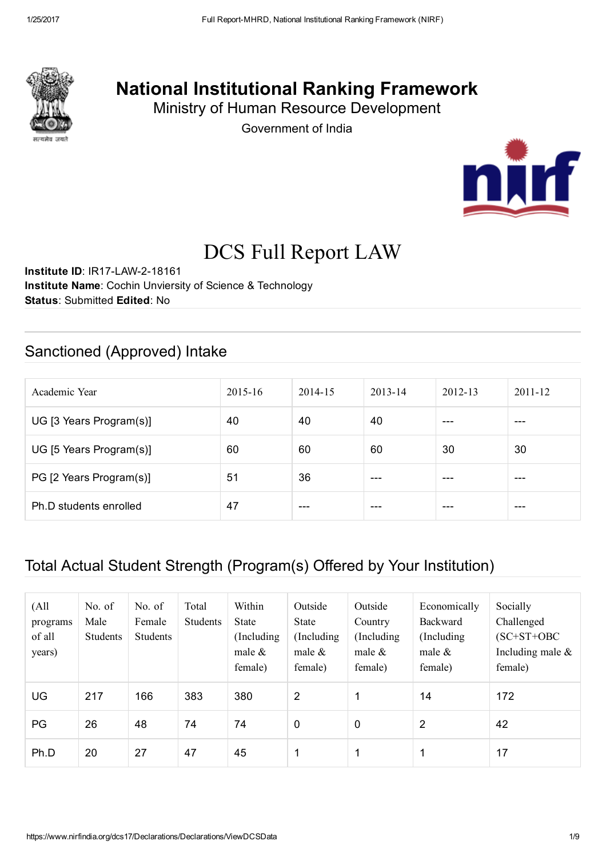

## National Institutional Ranking Framework

Ministry of Human Resource Development

Government of India



# DCS Full Report LAW

Institute ID: IR17-LAW-2-18161 Institute Name: Cochin Unviersity of Science & Technology Status: Submitted Edited: No

### Sanctioned (Approved) Intake

| Academic Year           | $2015 - 16$ | 2014-15 | $2013 - 14$ | $2012 - 13$ | $2011 - 12$ |
|-------------------------|-------------|---------|-------------|-------------|-------------|
| UG [3 Years Program(s)] | 40          | 40      | 40          | ---         | ---         |
| UG [5 Years Program(s)] | 60          | 60      | 60          | 30          | 30          |
| PG [2 Years Program(s)] | 51          | 36      | ---         | ---         | ---         |
| Ph.D students enrolled  | 47          | ---     | ---         | ---         | ---         |

### Total Actual Student Strength (Program(s) Offered by Your Institution)

| (A <sup>11</sup> )<br>programs<br>of all<br>years) | No. of<br>Male<br>Students | No. of<br>Female<br><b>Students</b> | Total<br>Students | Within<br><b>State</b><br>(Including)<br>male $\&$<br>female) | Outside<br><b>State</b><br>(Including)<br>male $\&$<br>female) | Outside<br>Country<br>(Including)<br>male $\&$<br>female) | Economically<br>Backward<br>(Including)<br>male $\&$<br>female) | Socially<br>Challenged<br>$(SC+ST+OBC$<br>Including male $\&$<br>female) |
|----------------------------------------------------|----------------------------|-------------------------------------|-------------------|---------------------------------------------------------------|----------------------------------------------------------------|-----------------------------------------------------------|-----------------------------------------------------------------|--------------------------------------------------------------------------|
| <b>UG</b>                                          | 217                        | 166                                 | 383               | 380                                                           | 2                                                              | 1                                                         | 14                                                              | 172                                                                      |
| PG                                                 | 26                         | 48                                  | 74                | 74                                                            | $\mathbf 0$                                                    | 0                                                         | $\overline{2}$                                                  | 42                                                                       |
| Ph.D                                               | 20                         | 27                                  | 47                | 45                                                            |                                                                | 1                                                         |                                                                 | 17                                                                       |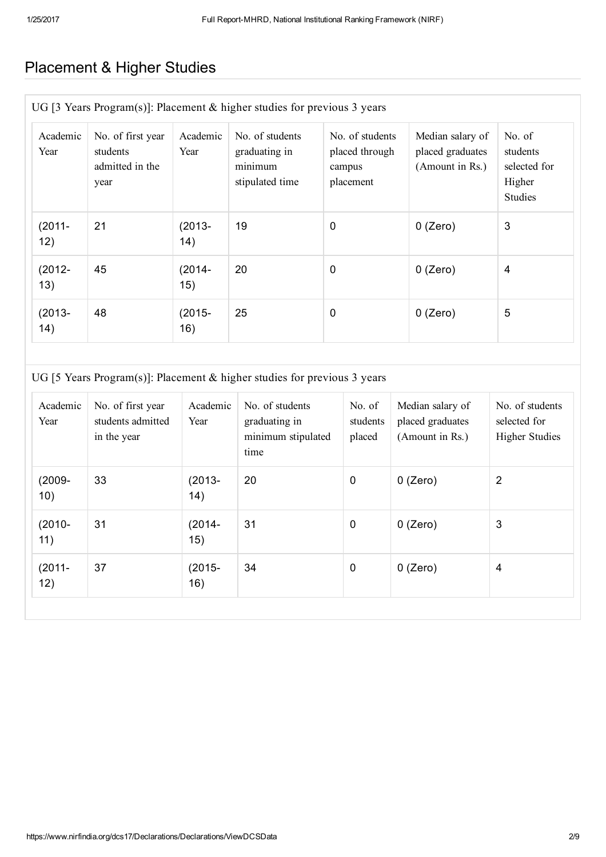### Placement & Higher Studies

| UG [3 Years Program(s)]: Placement & higher studies for previous 3 years |                                                          |                   |                                                                |                                                          |                                                         |                                                                |  |
|--------------------------------------------------------------------------|----------------------------------------------------------|-------------------|----------------------------------------------------------------|----------------------------------------------------------|---------------------------------------------------------|----------------------------------------------------------------|--|
| Academic<br>Year                                                         | No. of first year<br>students<br>admitted in the<br>year | Academic<br>Year  | No. of students<br>graduating in<br>minimum<br>stipulated time | No. of students<br>placed through<br>campus<br>placement | Median salary of<br>placed graduates<br>(Amount in Rs.) | No. of<br>students<br>selected for<br>Higher<br><b>Studies</b> |  |
| $(2011 -$<br>12)                                                         | 21                                                       | $(2013 -$<br>(14) | 19                                                             | $\mathbf 0$                                              | $0$ (Zero)                                              | 3                                                              |  |
| $(2012 -$<br>13)                                                         | 45                                                       | $(2014 -$<br>15)  | 20                                                             | $\mathbf 0$                                              | $0$ (Zero)                                              | 4                                                              |  |
| $(2013 -$<br>(14)                                                        | 48                                                       | $(2015 -$<br>16)  | 25                                                             | $\mathbf 0$                                              | $0$ (Zero)                                              | 5                                                              |  |

#### UG [5 Years Program(s)]: Placement & higher studies for previous 3 years

| Academic<br>Year | No. of first year<br>students admitted<br>in the year | Academic<br>Year  | No. of students<br>graduating in<br>minimum stipulated<br>time | No. of<br>students<br>placed | Median salary of<br>placed graduates<br>(Amount in Rs.) | No. of students<br>selected for<br><b>Higher Studies</b> |
|------------------|-------------------------------------------------------|-------------------|----------------------------------------------------------------|------------------------------|---------------------------------------------------------|----------------------------------------------------------|
| $(2009 -$<br>10) | 33                                                    | $(2013 -$<br>(14) | 20                                                             | $\mathbf 0$                  | $0$ (Zero)                                              | $\overline{2}$                                           |
| $(2010 -$<br>11) | 31                                                    | $(2014 -$<br>15)  | 31                                                             | $\boldsymbol{0}$             | $0$ (Zero)                                              | 3                                                        |
| $(2011 -$<br>12) | 37                                                    | $(2015 -$<br>16)  | 34                                                             | $\mathbf 0$                  | $0$ (Zero)                                              | 4                                                        |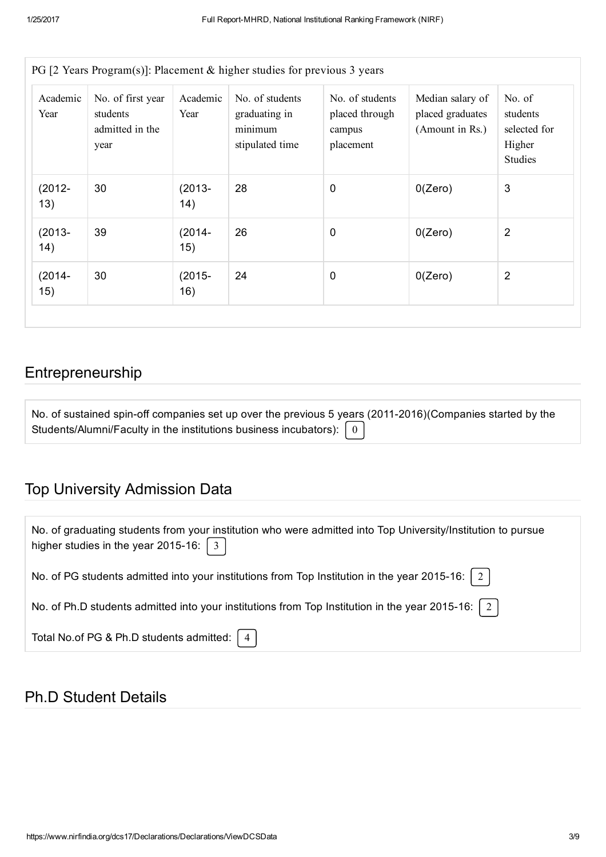| PG [2 Years Program(s)]: Placement $\&$ higher studies for previous 3 years |                                                          |                  |                                                                |                                                          |                                                         |                                                                |  |
|-----------------------------------------------------------------------------|----------------------------------------------------------|------------------|----------------------------------------------------------------|----------------------------------------------------------|---------------------------------------------------------|----------------------------------------------------------------|--|
| Academic<br>Year                                                            | No. of first year<br>students<br>admitted in the<br>year | Academic<br>Year | No. of students<br>graduating in<br>minimum<br>stipulated time | No. of students<br>placed through<br>campus<br>placement | Median salary of<br>placed graduates<br>(Amount in Rs.) | No. of<br>students<br>selected for<br>Higher<br><b>Studies</b> |  |
| $(2012 -$<br>13)                                                            | 30                                                       | $(2013 -$<br>14) | 28                                                             | $\mathbf 0$                                              | 0(Zero)                                                 | 3                                                              |  |
| $(2013 -$<br>14)                                                            | 39                                                       | $(2014 -$<br>15) | 26                                                             | $\mathbf 0$                                              | O(Zero)                                                 | $\overline{2}$                                                 |  |
| $(2014 -$<br>15)                                                            | 30                                                       | $(2015 -$<br>16) | 24                                                             | 0                                                        | 0(Zero)                                                 | $\overline{2}$                                                 |  |

### Entrepreneurship

| No. of sustained spin-off companies set up over the previous 5 years (2011-2016) (Companies started by the |  |
|------------------------------------------------------------------------------------------------------------|--|
| Students/Alumni/Faculty in the institutions business incubators): $\begin{bmatrix} 0 \end{bmatrix}$        |  |

### Top University Admission Data

| No. of graduating students from your institution who were admitted into Top University/Institution to pursue<br>higher studies in the year 2015-16: $\begin{bmatrix} 3 \end{bmatrix}$ |
|---------------------------------------------------------------------------------------------------------------------------------------------------------------------------------------|
| No. of PG students admitted into your institutions from Top Institution in the year 2015-16:   2                                                                                      |
| No. of Ph.D students admitted into your institutions from Top Institution in the year 2015-16: $\mid 2 \mid$                                                                          |
| Total No.of PG & Ph.D students admitted: $ 4 $                                                                                                                                        |

#### Ph.D Student Details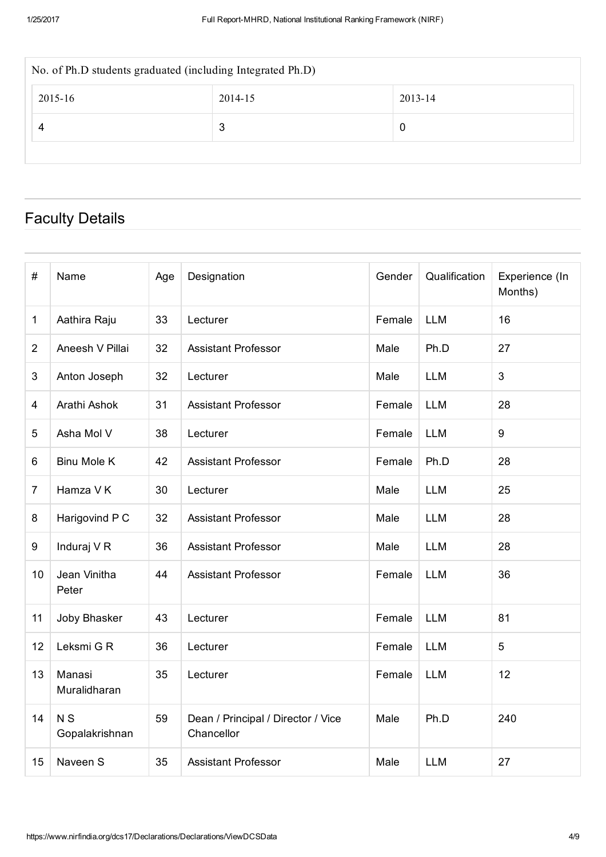| No. of Ph.D students graduated (including Integrated Ph.D) |   |   |  |  |  |  |  |
|------------------------------------------------------------|---|---|--|--|--|--|--|
| 2015-16<br>2013-14<br>2014-15                              |   |   |  |  |  |  |  |
|                                                            | 3 | 0 |  |  |  |  |  |
|                                                            |   |   |  |  |  |  |  |

### Faculty Details

| $\#$           | Name                        | Age | Designation                                      | Gender | Qualification | Experience (In<br>Months) |
|----------------|-----------------------------|-----|--------------------------------------------------|--------|---------------|---------------------------|
| 1              | Aathira Raju                | 33  | Lecturer                                         | Female | <b>LLM</b>    | 16                        |
| $\overline{2}$ | Aneesh V Pillai             | 32  | <b>Assistant Professor</b>                       | Male   | Ph.D          | 27                        |
| 3              | Anton Joseph                | 32  | Lecturer                                         | Male   | <b>LLM</b>    | 3                         |
| 4              | Arathi Ashok                | 31  | <b>Assistant Professor</b>                       | Female | <b>LLM</b>    | 28                        |
| 5              | Asha Mol V                  | 38  | Lecturer                                         | Female | <b>LLM</b>    | 9                         |
| 6              | <b>Binu Mole K</b>          | 42  | <b>Assistant Professor</b>                       | Female | Ph.D          | 28                        |
| $\overline{7}$ | Hamza V K                   | 30  | Lecturer                                         | Male   | <b>LLM</b>    | 25                        |
| 8              | Harigovind P C              | 32  | <b>Assistant Professor</b>                       | Male   | <b>LLM</b>    | 28                        |
| 9              | Induraj V R                 | 36  | <b>Assistant Professor</b>                       | Male   | <b>LLM</b>    | 28                        |
| 10             | Jean Vinitha<br>Peter       | 44  | <b>Assistant Professor</b>                       | Female | <b>LLM</b>    | 36                        |
| 11             | Joby Bhasker                | 43  | Lecturer                                         | Female | <b>LLM</b>    | 81                        |
| 12             | Leksmi G R                  | 36  | Lecturer                                         | Female | <b>LLM</b>    | 5                         |
| 13             | Manasi<br>Muralidharan      | 35  | Lecturer                                         | Female | <b>LLM</b>    | 12                        |
| 14             | <b>NS</b><br>Gopalakrishnan | 59  | Dean / Principal / Director / Vice<br>Chancellor | Male   | Ph.D          | 240                       |
| 15             | Naveen S                    | 35  | <b>Assistant Professor</b>                       | Male   | <b>LLM</b>    | 27                        |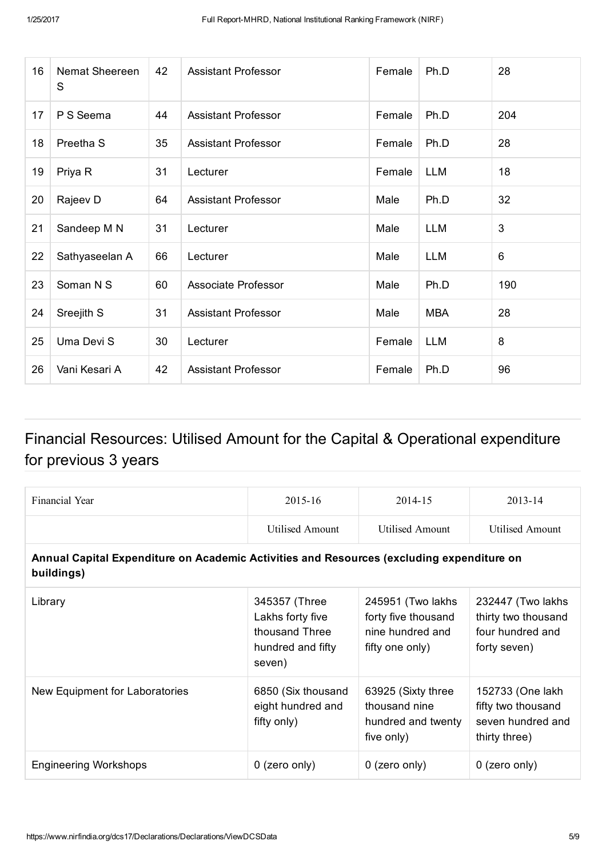| 16 | Nemat Sheereen<br>S  | 42 | <b>Assistant Professor</b> | Female | Ph.D       | 28  |
|----|----------------------|----|----------------------------|--------|------------|-----|
| 17 | P S Seema            | 44 | <b>Assistant Professor</b> | Female | Ph.D       | 204 |
| 18 | Preetha <sub>S</sub> | 35 | <b>Assistant Professor</b> | Female | Ph.D       | 28  |
| 19 | Priya R              | 31 | Lecturer                   | Female | <b>LLM</b> | 18  |
| 20 | Rajeev D             | 64 | <b>Assistant Professor</b> | Male   | Ph.D       | 32  |
| 21 | Sandeep M N          | 31 | Lecturer                   | Male   | <b>LLM</b> | 3   |
| 22 | Sathyaseelan A       | 66 | Lecturer                   | Male   | <b>LLM</b> | 6   |
| 23 | Soman N S            | 60 | Associate Professor        | Male   | Ph.D       | 190 |
| 24 | Sreejith S           | 31 | <b>Assistant Professor</b> | Male   | <b>MBA</b> | 28  |
| 25 | Uma Devi S           | 30 | Lecturer                   | Female | <b>LLM</b> | 8   |
| 26 | Vani Kesari A        | 42 | <b>Assistant Professor</b> | Female | Ph.D       | 96  |

### Financial Resources: Utilised Amount for the Capital & Operational expenditure for previous 3 years

| Financial Year                                                                                          | 2015-16                                                                            | 2014-15                                                                         | 2013-14                                                                      |  |  |  |  |  |  |
|---------------------------------------------------------------------------------------------------------|------------------------------------------------------------------------------------|---------------------------------------------------------------------------------|------------------------------------------------------------------------------|--|--|--|--|--|--|
|                                                                                                         | Utilised Amount                                                                    | <b>Utilised Amount</b>                                                          | <b>Utilised Amount</b>                                                       |  |  |  |  |  |  |
| Annual Capital Expenditure on Academic Activities and Resources (excluding expenditure on<br>buildings) |                                                                                    |                                                                                 |                                                                              |  |  |  |  |  |  |
| Library                                                                                                 | 345357 (Three<br>Lakhs forty five<br>thousand Three<br>hundred and fifty<br>seven) | 245951 (Two lakhs<br>forty five thousand<br>nine hundred and<br>fifty one only) | 232447 (Two lakhs<br>thirty two thousand<br>four hundred and<br>forty seven) |  |  |  |  |  |  |
| New Equipment for Laboratories                                                                          | 6850 (Six thousand<br>eight hundred and<br>fifty only)                             | 63925 (Sixty three<br>thousand nine<br>hundred and twenty<br>five only)         | 152733 (One lakh<br>fifty two thousand<br>seven hundred and<br>thirty three) |  |  |  |  |  |  |
| <b>Engineering Workshops</b>                                                                            | $0$ (zero only)                                                                    | $0$ (zero only)                                                                 | $0$ (zero only)                                                              |  |  |  |  |  |  |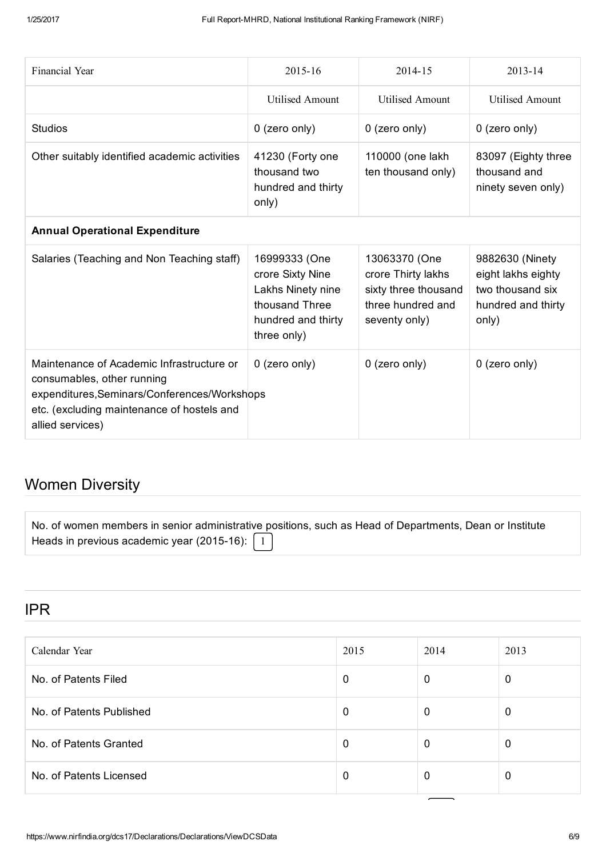| <b>Financial Year</b>                                                                                                                                                                     | 2015-16                                                                                                       | 2014-15                                                                                           | 2013-14                                                                                  |
|-------------------------------------------------------------------------------------------------------------------------------------------------------------------------------------------|---------------------------------------------------------------------------------------------------------------|---------------------------------------------------------------------------------------------------|------------------------------------------------------------------------------------------|
|                                                                                                                                                                                           | <b>Utilised Amount</b>                                                                                        | <b>Utilised Amount</b>                                                                            | <b>Utilised Amount</b>                                                                   |
| <b>Studios</b>                                                                                                                                                                            | 0 (zero only)                                                                                                 | 0 (zero only)                                                                                     | 0 (zero only)                                                                            |
| Other suitably identified academic activities                                                                                                                                             | 41230 (Forty one<br>thousand two<br>hundred and thirty<br>only)                                               | 110000 (one lakh<br>ten thousand only)                                                            | 83097 (Eighty three<br>thousand and<br>ninety seven only)                                |
| <b>Annual Operational Expenditure</b>                                                                                                                                                     |                                                                                                               |                                                                                                   |                                                                                          |
| Salaries (Teaching and Non Teaching staff)                                                                                                                                                | 16999333 (One<br>crore Sixty Nine<br>Lakhs Ninety nine<br>thousand Three<br>hundred and thirty<br>three only) | 13063370 (One<br>crore Thirty lakhs<br>sixty three thousand<br>three hundred and<br>seventy only) | 9882630 (Ninety<br>eight lakhs eighty<br>two thousand six<br>hundred and thirty<br>only) |
| Maintenance of Academic Infrastructure or<br>consumables, other running<br>expenditures, Seminars/Conferences/Workshops<br>etc. (excluding maintenance of hostels and<br>allied services) | 0 (zero only)                                                                                                 | 0 (zero only)                                                                                     | 0 (zero only)                                                                            |

### Women Diversity

|                                                                              | No. of women members in senior administrative positions, such as Head of Departments, Dean or Institute |
|------------------------------------------------------------------------------|---------------------------------------------------------------------------------------------------------|
| Heads in previous academic year (2015-16): $\begin{bmatrix} 1 \end{bmatrix}$ |                                                                                                         |

#### IPR

| Calendar Year            | 2015 | 2014 | 2013 |
|--------------------------|------|------|------|
| No. of Patents Filed     | 0    | 0    | 0    |
| No. of Patents Published | 0    | 0    |      |
| No. of Patents Granted   | 0    | 0    |      |
| No. of Patents Licensed  | 0    | 0    |      |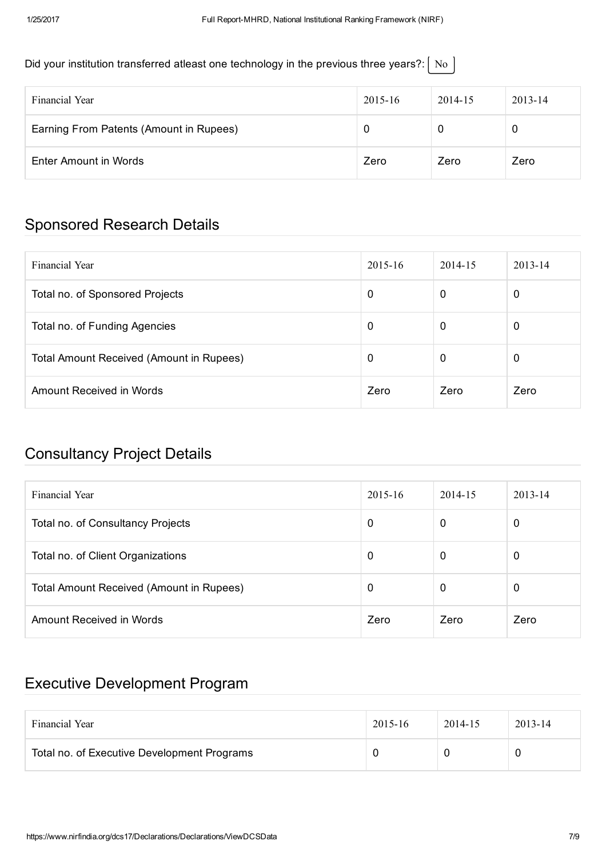#### Did your institution transferred atleast one technology in the previous three years?:  $\vert$  No  $\vert$

| Financial Year                          | $2015 - 16$ | 2014-15 | $2013 - 14$ |
|-----------------------------------------|-------------|---------|-------------|
| Earning From Patents (Amount in Rupees) |             |         | U           |
| Enter Amount in Words                   | Zero        | Zero    | Zero        |

### Sponsored Research Details

| Financial Year                           | $2015 - 16$ | 2014-15 | $2013 - 14$ |
|------------------------------------------|-------------|---------|-------------|
| Total no. of Sponsored Projects          | 0           | 0       | 0           |
| Total no. of Funding Agencies            | 0           | 0       | 0           |
| Total Amount Received (Amount in Rupees) | 0           | 0       | 0           |
| Amount Received in Words                 | Zero        | Zero    | Zero        |

### Consultancy Project Details

| Financial Year                                  | $2015 - 16$ | 2014-15 | $2013 - 14$ |
|-------------------------------------------------|-------------|---------|-------------|
| Total no. of Consultancy Projects               | 0           | 0       | 0           |
| Total no. of Client Organizations               | 0           | 0       | 0           |
| <b>Total Amount Received (Amount in Rupees)</b> | 0           | 0       | 0           |
| Amount Received in Words                        | Zero        | Zero    | Zero        |

### Executive Development Program

| Financial Year                              | $2015 - 16$ | 2014-15 | $2013 - 14$ |
|---------------------------------------------|-------------|---------|-------------|
| Total no. of Executive Development Programs |             |         | υ           |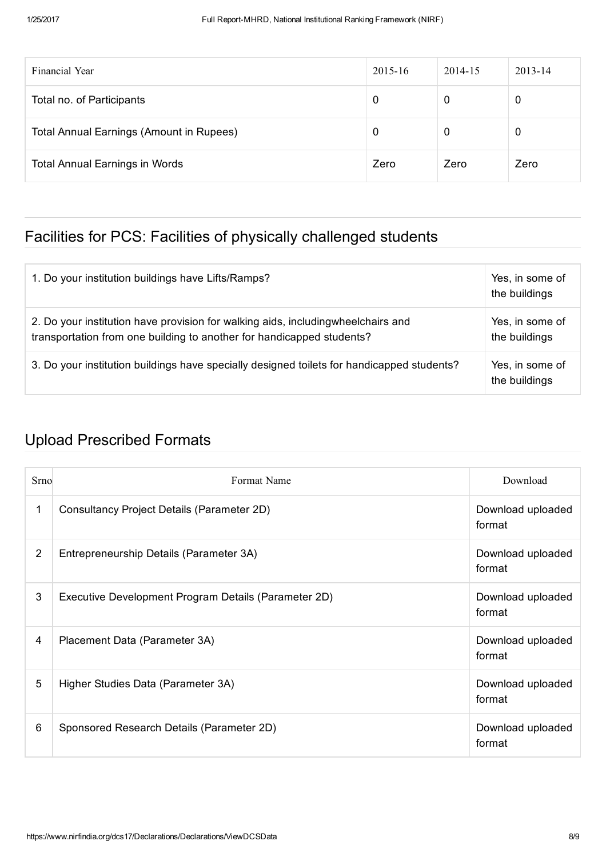| Financial Year                                  | $2015 - 16$ | 2014-15 | $2013 - 14$ |
|-------------------------------------------------|-------------|---------|-------------|
| Total no. of Participants                       | 0           | 0       | 0           |
| <b>Total Annual Earnings (Amount in Rupees)</b> | 0           | 0       | 0           |
| <b>Total Annual Earnings in Words</b>           | Zero        | Zero    | Zero        |

### Facilities for PCS: Facilities of physically challenged students

| 1. Do your institution buildings have Lifts/Ramps?                                                                                                        | Yes, in some of<br>the buildings |
|-----------------------------------------------------------------------------------------------------------------------------------------------------------|----------------------------------|
| 2. Do your institution have provision for walking aids, includingwheelchairs and<br>transportation from one building to another for handicapped students? | Yes, in some of<br>the buildings |
| 3. Do your institution buildings have specially designed toilets for handicapped students?                                                                | Yes, in some of<br>the buildings |

### Upload Prescribed Formats

| Srno | Format Name                                          | Download                    |
|------|------------------------------------------------------|-----------------------------|
| 1    | Consultancy Project Details (Parameter 2D)           | Download uploaded<br>format |
| 2    | Entrepreneurship Details (Parameter 3A)              | Download uploaded<br>format |
| 3    | Executive Development Program Details (Parameter 2D) | Download uploaded<br>format |
| 4    | Placement Data (Parameter 3A)                        | Download uploaded<br>format |
| 5    | Higher Studies Data (Parameter 3A)                   | Download uploaded<br>format |
| 6    | Sponsored Research Details (Parameter 2D)            | Download uploaded<br>format |